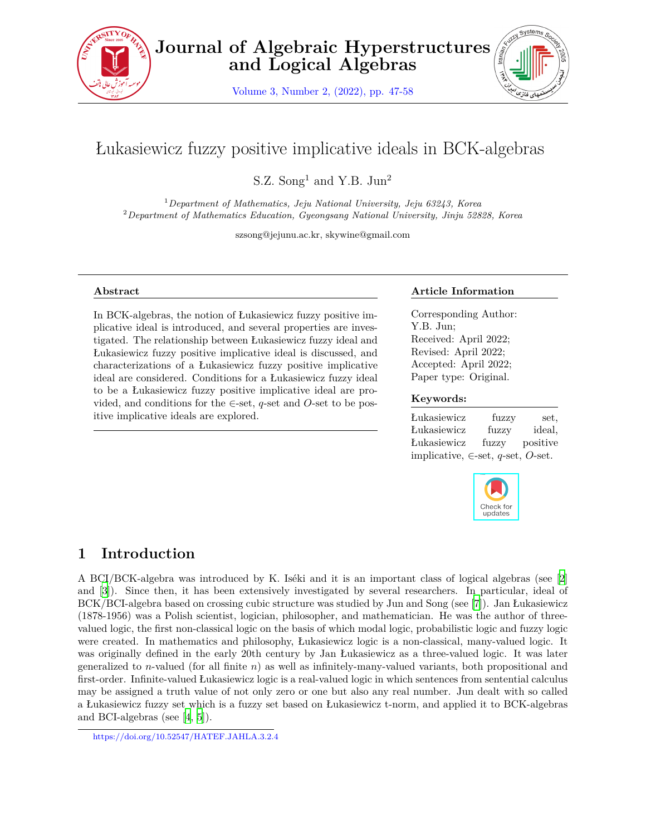

Volume 3, Number 2, (2022), pp. 47-58



# Łukasiewicz fuzzy positive implicative ideals in BCK-algebras

S.Z. Song<sup>1</sup> and Y.B.  $Jun<sup>2</sup>$ 

<sup>1</sup>*Department of Mathematics, Jeju National University, Jeju 63243, Korea* <sup>2</sup>*Department of Mathematics Education, Gyeongsang National University, Jinju 52828, Korea*

szsong@jejunu.ac.kr, skywine@gmail.com

#### **Abstract**

In BCK-algebras, the notion of Łukasiewicz fuzzy positive implicative ideal is introduced, and several properties are investigated. The relationship between Łukasiewicz fuzzy ideal and Łukasiewicz fuzzy positive implicative ideal is discussed, and characterizations of a Łukasiewicz fuzzy positive implicative ideal are considered. Conditions for a Łukasiewicz fuzzy ideal to be a Łukasiewicz fuzzy positive implicative ideal are provided, and conditions for the *∈*-set, *q*-set and *O*-set to be positive implicative ideals are explored.

#### **Article Information**

Corresponding Author: Y.B. Jun; Received: April 2022; Revised: April 2022; Accepted: April 2022; Paper type: Original.

#### **Keywords:**

| Łukasiewicz                            | fuzzy | set,     |
|----------------------------------------|-------|----------|
| Lukasiewicz                            | fuzzy | ideal,   |
| Łukasiewicz                            | fuzzy | positive |
| implicative, $\in$ -set, q-set, O-set. |       |          |



# **1 Introduction**

A BCI/BCK-algebra was introduced by K. Iséki and it is an important class of logical algebras (see [[2\]](#page-11-0) and [[3\]](#page-11-1)). Since then, it has been extensively investigated by several researchers. In particular, ideal of BCK/BCI-algebra based on crossing cubic structure was studied by Jun and Song (see [[7\]](#page-11-2)). Jan Łukasiewicz (1878-1956) was a Polish scientist, logician, philosopher, and mathematician. He was the author of threevalued logic, the first non-classical logic on the basis of which modal logic, probabilistic logic and fuzzy logic were created. In mathematics and philosophy, Łukasiewicz logic is a non-classical, many-valued logic. It was originally defined in the early 20th century by Jan Łukasiewicz as a three-valued logic. It was later generalized to *n*-valued (for all finite *n*) as well as infinitely-many-valued variants, both propositional and first-order. Infinite-valued Łukasiewicz logic is a real-valued logic in which sentences from sentential calculus may be assigned a truth value of not only zero or one but also any real number. Jun dealt with so called a Łukasiewicz fuzzy set which is a fuzzy set based on Łukasiewicz t-norm, and applied it to BCK-algebras and BCI-algebras (see [[4,](#page-11-3) [5\]](#page-11-4)).

https://doi.org/10.52547/HATEF.JAHLA.3.2.4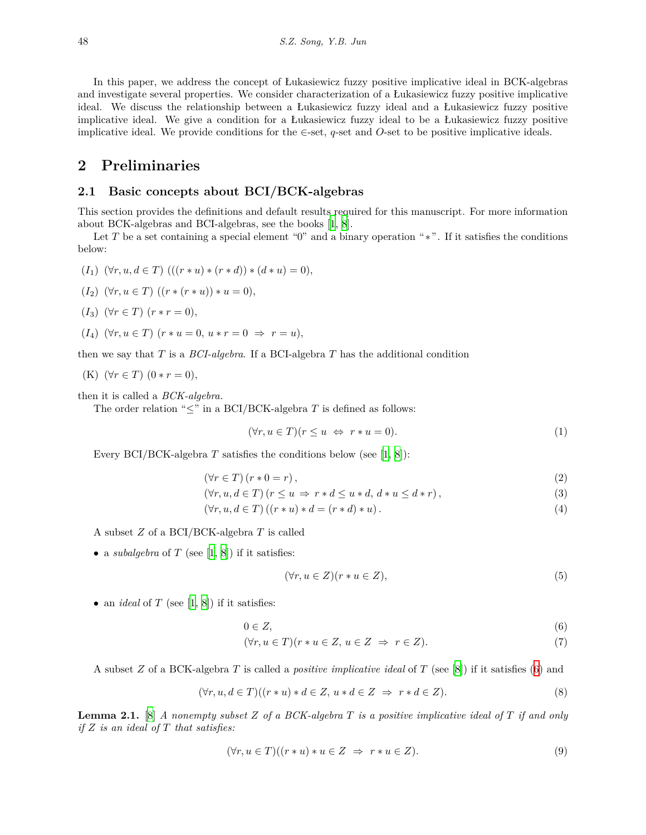In this paper, we address the concept of Łukasiewicz fuzzy positive implicative ideal in BCK-algebras and investigate several properties. We consider characterization of a Łukasiewicz fuzzy positive implicative ideal. We discuss the relationship between a Łukasiewicz fuzzy ideal and a Łukasiewicz fuzzy positive implicative ideal. We give a condition for a Łukasiewicz fuzzy ideal to be a Łukasiewicz fuzzy positive implicative ideal. We provide conditions for the *∈*-set, *q*-set and *O*-set to be positive implicative ideals.

### **2 Preliminaries**

#### **2.1 Basic concepts about BCI/BCK-algebras**

This section provides the definitions and default results required for this manuscript. For more information about BCK-algebras and BCI-algebras, see the books [\[1](#page-11-5), [8](#page-11-6)].

Let *T* be a set containing a special element "0" and a binary operation "\*". If it satisfies the conditions below:

 $(f_1)$   $(\forall r, u, d \in T)$   $((r * u) * (r * d)) * (d * u) = 0),$ 

$$
(I_2) \ (\forall r, u \in T) \ ((r * (r * u)) * u = 0),
$$

- $(I_3)$   $(\forall r \in T)$   $(r * r = 0)$ ,
- $(f_4)$   $(\forall r, u \in T)$   $(r * u = 0, u * r = 0 \Rightarrow r = u),$

then we say that *T* is a *BCI-algebra*. If a BCI-algebra *T* has the additional condition

(K) 
$$
(\forall r \in T) (0 * r = 0),
$$

then it is called a *BCK-algebra.*

The order relation "*≤*" in a BCI/BCK-algebra *T* is defined as follows:

$$
(\forall r, u \in T)(r \le u \Leftrightarrow r * u = 0). \tag{1}
$$

Every BCI/BCK-algebra  $T$  satisfies the conditions below (see [\[1](#page-11-5), [8](#page-11-6)]):

$$
(\forall r \in T) (r * 0 = r), \tag{2}
$$

$$
(\forall r, u, d \in T) (r \le u \Rightarrow r * d \le u * d, d * u \le d * r),
$$
\n
$$
(3)
$$

 $(\forall r, u, d \in T) ((r * u) * d = (r * d) * u).$  (4)

A subset *Z* of a BCI/BCK-algebra *T* is called

• a *subalgebra* of *T* (see [[1](#page-11-5), [8\]](#page-11-6)) if it satisfies:

<span id="page-1-3"></span><span id="page-1-2"></span><span id="page-1-1"></span><span id="page-1-0"></span>
$$
(\forall r, u \in Z)(r * u \in Z),\tag{5}
$$

*•* an *ideal* of *T* (see [\[1](#page-11-5), [8](#page-11-6)]) if it satisfies:

$$
0 \in Z,\tag{6}
$$

$$
(\forall r, u \in T)(r * u \in Z, u \in Z \Rightarrow r \in Z). \tag{7}
$$

A subset *Z* of a BCK-algebra *T* is called a *positive implicative ideal* of *T* (see [[8\]](#page-11-6)) if it satisfies [\(6](#page-1-0)) and

$$
(\forall r, u, d \in T)((r * u) * d \in Z, u * d \in Z \Rightarrow r * d \in Z).
$$
\n
$$
(8)
$$

**Lemma 2.1.** [[8\]](#page-11-6) *A nonempty subset Z of a BCK-algebra T is a positive implicative ideal of T if and only if Z is an ideal of T that satisfies:*

$$
(\forall r, u \in T)((r * u) * u \in Z \Rightarrow r * u \in Z).
$$
\n
$$
(9)
$$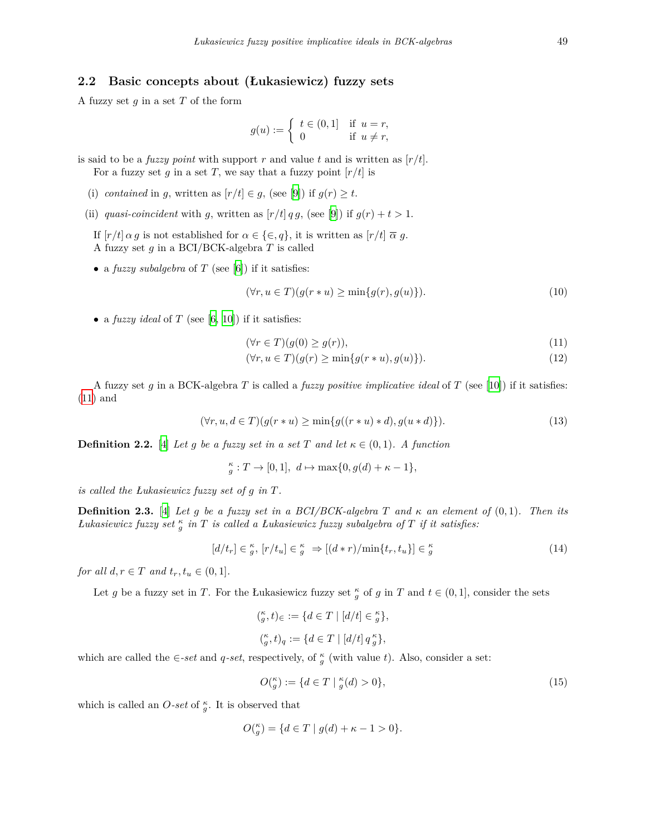### **2.2 Basic concepts about (Łukasiewicz) fuzzy sets**

A fuzzy set *g* in a set *T* of the form

$$
g(u) := \begin{cases} t \in (0,1] & \text{if } u = r, \\ 0 & \text{if } u \neq r, \end{cases}
$$

is said to be a *fuzzy point* with support *r* and value *t* and is written as  $[r/t]$ *.* For a fuzzy set  $g$  in a set  $T$ , we say that a fuzzy point  $[r/t]$  is

- (i) *contained* in *g*, written as  $[r/t] \in g$ , (see [[9\]](#page-11-7)) if  $g(r) \geq t$ .
- (ii) *quasi-coincident* with *g*, written as  $[r/t]$  *q g*, (see [[9\]](#page-11-7)) if  $g(r) + t > 1$ .
	- If  $[r/t] \alpha g$  is not established for  $\alpha \in \{\in, q\}$ , it is written as  $[r/t] \overline{\alpha} g$ . A fuzzy set *g* in a BCI/BCK-algebra *T* is called
	- *•* a *fuzzy subalgebra* of *T* (see [\[6](#page-11-8)]) if it satisfies:

$$
(\forall r, u \in T)(g(r * u) \ge \min\{g(r), g(u)\}).
$$
\n<sup>(10)</sup>

*•* a *fuzzy ideal* of *T* (see [[6,](#page-11-8) [10\]](#page-11-9)) if it satisfies:

<span id="page-2-0"></span>
$$
(\forall r \in T)(g(0) \ge g(r)),\tag{11}
$$

$$
(\forall r, u \in T)(g(r) \ge \min\{g(r * u), g(u)\}).
$$
\n<sup>(12)</sup>

A fuzzy set *g* in a BCK-algebra *T* is called a *fuzzy positive implicative ideal* of *T* (see [\[10](#page-11-9)]) if it satisfies: ([11\)](#page-2-0) and

$$
(\forall r, u, d \in T) (g(r * u) \ge \min\{g((r * u) * d), g(u * d)\}).
$$
\n(13)

**Definition 2.2.** [[4\]](#page-11-3) *Let g be a fuzzy set in a set T and let*  $\kappa \in (0,1)$ *. A function* 

$$
_g^{\kappa}:T\rightarrow[0,1],\ d\mapsto\max\{0,g(d)+\kappa-1\},
$$

*is called the Łukasiewicz fuzzy set of g in T.*

**Definition 2.3.** [[4\]](#page-11-3) *Let g be a fuzzy set in a BCI/BCK-algebra T* and  $\kappa$  an element of  $(0,1)$ *. Then its Łukasiewicz fuzzy set <sup>κ</sup> g in T is called a Łukasiewicz fuzzy subalgebra of T if it satisfies:*

$$
[d/t_r] \in \zeta_g^{\kappa}, [r/t_u] \in \zeta_g^{\kappa} \Rightarrow [(d*r)/\min\{t_r, t_u\}] \in \zeta_g^{\kappa}
$$
\n(14)

*for all*  $d, r \in T$  *and*  $t_r, t_u \in (0, 1]$ *.* 

Let *g* be a fuzzy set in *T*. For the Łukasiewicz fuzzy set  $\frac{\kappa}{g}$  of *g* in *T* and  $t \in (0,1]$ , consider the sets

$$
\begin{aligned} \binom{\kappa}{g}, t)_{\in} &:= \{ d \in T \mid [d/t] \in \frac{\kappa}{g} \}, \\ \binom{\kappa}{g}, t)_q &:= \{ d \in T \mid [d/t] \, q \, \frac{\kappa}{g} \}, \end{aligned}
$$

which are called the  $\in$ -set and *q*-set, respectively, of  $\frac{\kappa}{g}$  (with value t). Also, consider a set:

$$
O_{g}^{\kappa} := \{ d \in T \mid g'_{g}(d) > 0 \},\tag{15}
$$

which is called an  $O$ *-set* of  $\frac{\kappa}{g}$ . It is observed that

$$
O(\tfrac{\kappa}{g}) = \{ d \in T \mid g(d) + \kappa - 1 > 0 \}.
$$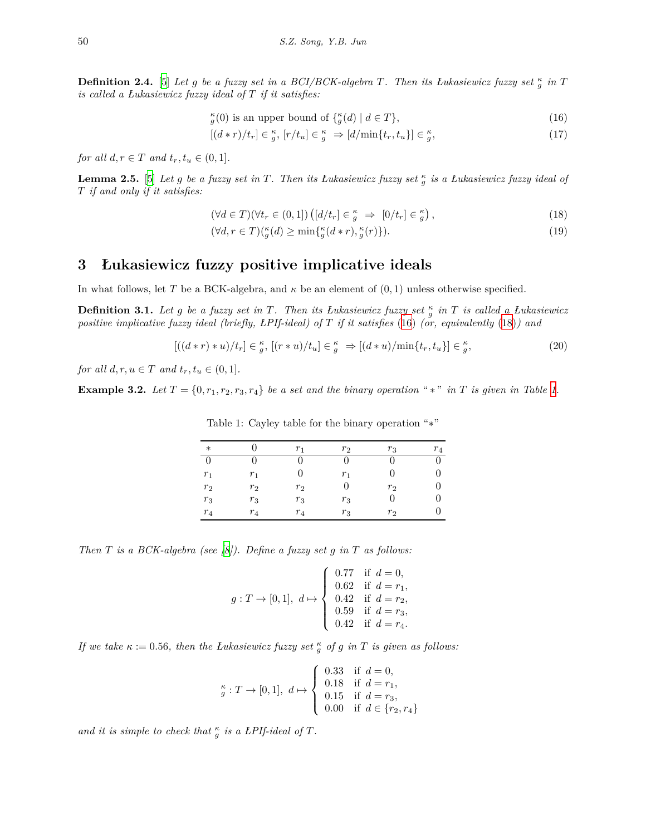**Definition 2.4.** [\[5](#page-11-4)] *Let g be a fuzzy set in a BCI/BCK-algebra T. Then its Łukasiewicz fuzzy set*  $\frac{\kappa}{g}$  *in T is called a Łukasiewicz fuzzy ideal of T if it satisfies:*

<span id="page-3-0"></span> $\kappa_g$ (0) is an upper bound of  $\{ \kappa_g(d) \mid d \in T \}$ , (16)

<span id="page-3-4"></span> $[(d*r)/t_r] \in \frac{\kappa}{g}, [r/t_u] \in \frac{\kappa}{g} \Rightarrow [d/\min\{t_r, t_u\}] \in \frac{\kappa}{g}$ *,* (17)

*for all*  $d, r \in T$  *and*  $t_r, t_u \in (0, 1]$ *.* 

**Lemma 2.5.** [[5\]](#page-11-4) Let g be a fuzzy set in T. Then its Lukasiewicz fuzzy set  $_g^{\kappa}$  is a Lukasiewicz fuzzy ideal of *T if and only if it satisfies:*

<span id="page-3-1"></span>
$$
(\forall d \in T)(\forall t_r \in (0,1]) \left( [d/t_r] \in \zeta_g^{\kappa} \implies [0/t_r] \in \zeta_g^{\kappa} \right),\tag{18}
$$

<span id="page-3-5"></span>
$$
(\forall d, r \in T) \binom{\kappa}{g}(d) \ge \min\{\frac{\kappa}{g}(d*r), \frac{\kappa}{g}(r)\}.
$$
\n<sup>(19)</sup>

## **3 Łukasiewicz fuzzy positive implicative ideals**

In what follows, let *T* be a BCK-algebra, and  $\kappa$  be an element of  $(0,1)$  unless otherwise specified.

**Definition 3.1.** *Let g be a fuzzy set in T. Then its Łukasiewicz fuzzy set <sup>κ</sup> g in T is called a Łukasiewicz positive implicative fuzzy ideal (briefly, ŁPIf-ideal) of T if it satisfies* [\(16](#page-3-0)) *(or, equivalently* ([18\)](#page-3-1)*) and*

$$
[((d*r)*u)/t_r] \in \frac{\kappa}{g}, [(r*u)/t_u] \in \frac{\kappa}{g} \Rightarrow [(d*u)/\min\{t_r, t_u\}] \in \frac{\kappa}{g},\tag{20}
$$

*for all*  $d, r, u \in T$  *and*  $t_r, t_u \in (0, 1]$ *.* 

**Example 3.2.** Let  $T = \{0, r_1, r_2, r_3, r_4\}$  $T = \{0, r_1, r_2, r_3, r_4\}$  $T = \{0, r_1, r_2, r_3, r_4\}$  be a set and the binary operation " $*$ " in  $T$  is given in Table 1.

| $\ast$   |       | r <sub>1</sub> | $r_2$ | $r_3$        | $r_4$ |
|----------|-------|----------------|-------|--------------|-------|
| $\theta$ | O     |                |       |              |       |
| $r_1$    | $r_1$ | 0              | $r_1$ | $\mathbf{0}$ |       |
| $r_2$    | $r_2$ | $r_2$          | 0     | $r_2$        |       |
| $r_3$    | $r_3$ | $r_3$          | $r_3$ | $\theta$     |       |
| $r_4$    | $r_4$ | $r_4$          | $r_3$ | $r_2$        |       |

<span id="page-3-3"></span><span id="page-3-2"></span>Table 1: Cayley table for the binary operation "*∗*"

*Then T is a BCK-algebra (see [\[8](#page-11-6)]). Define a fuzzy set g in T as follows:*

$$
g:T\to[0,1],\ d\mapsto \left\{\begin{array}{ll} 0.77 & \text{if}\ d=0,\\ 0.62 & \text{if}\ d=r_1,\\ 0.42 & \text{if}\ d=r_2,\\ 0.59 & \text{if}\ d=r_3,\\ 0.42 & \text{if}\ d=r_4. \end{array}\right.
$$

*If we take*  $\kappa := 0.56$ *, then the Lukasiewicz fuzzy set*  $\frac{\kappa}{g}$  *of g in T is given as follows:* 

$$
_{g}^{\kappa}:T\rightarrow[0,1],\ d\mapsto\left\{ \begin{array}{ll} 0.33 & \text{if}\ d=0, \\ 0.18 & \text{if}\ d=r_{1}, \\ 0.15 & \text{if}\ d=r_{3}, \\ 0.00 & \text{if}\ d\in\{r_{2},r_{4}\} \end{array} \right.
$$

*and it is simple to check that*  $\frac{\kappa}{g}$  *is a LPIf-ideal of T*.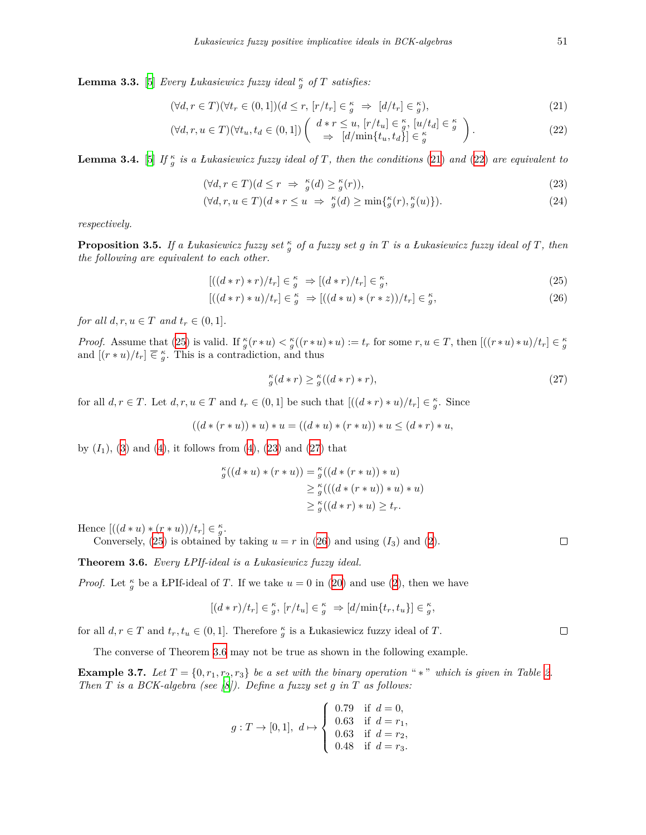<span id="page-4-8"></span>**Lemma 3.3.** [[5\]](#page-11-4) *Every Łukasiewicz fuzzy ideal <sup>κ</sup> <sup>g</sup> of T satisfies:*

$$
(\forall d, r \in T)(\forall t_r \in (0,1])(d \le r, [r/t_r] \in \frac{\kappa}{g} \Rightarrow [d/t_r] \in \frac{\kappa}{g}),
$$
\n
$$
(21)
$$

$$
(\forall d, r, u \in T)(\forall t_u, t_d \in (0, 1]) \begin{pmatrix} d \cdot r \le u, [r/t_u] \in \frac{\kappa}{g}, [u/t_d] \in \frac{\kappa}{g} \\ \Rightarrow [d/\min\{t_u, t_d\}] \in \frac{\kappa}{g} \end{pmatrix}.
$$
 (22)

<span id="page-4-10"></span>**Lemma 3.4.** [[5\]](#page-11-4) *If*  $\frac{\kappa}{g}$  *is a Łukasiewicz fuzzy ideal of T, then the conditions* [\(21](#page-4-0)) *and* [\(22](#page-4-1)) *are equivalent to* 

<span id="page-4-3"></span><span id="page-4-1"></span><span id="page-4-0"></span>
$$
(\forall d, r \in T)(d \le r \Rightarrow \frac{\kappa}{g}(d) \ge \frac{\kappa}{g}(r)),\tag{23}
$$

$$
(\forall d, r, u \in T)(d \ast r \le u \Rightarrow \frac{\kappa}{g}(d) \ge \min\{\frac{\kappa}{g}(r), \frac{\kappa}{g}(u)\}).
$$
\n(24)

*respectively.*

<span id="page-4-7"></span>**Proposition 3.5.** *If a Łukasiewicz fuzzy set <sup>κ</sup> <sup>g</sup> of a fuzzy set g in T is a Łukasiewicz fuzzy ideal of T, then the following are equivalent to each other.*

$$
[((d*r)*r)/t_r] \in \frac{\kappa}{g} \implies [(d*r)/t_r] \in \frac{\kappa}{g},\tag{25}
$$

$$
[((d*r)*u)/t_r] \in \frac{\kappa}{g} \Rightarrow [((d*u)*(r*z))/t_r] \in \frac{\kappa}{g},\tag{26}
$$

*for all*  $d, r, u \in T$  *and*  $t_r \in (0, 1]$ *.* 

*Proof.* Assume that [\(25](#page-4-2)) is valid. If  $\frac{\kappa}{g}(r * u) < \frac{\kappa}{g}((r * u) * u) := t_r$  for some  $r, u \in T$ , then  $[((r * u) * u)/t_r] \in \frac{\kappa}{g}$ and  $[(r * u)/t_r] \n\equiv \frac{\kappa}{g}$ . This is a contradiction, and thus

<span id="page-4-9"></span><span id="page-4-5"></span><span id="page-4-2"></span>
$$
\begin{array}{c}\n\kappa \\
g(d*r)\n\geq \frac{\kappa}{g}((d*r)*r),\n\end{array} \tag{27}
$$

for all  $d, r \in T$ . Let  $d, r, u \in T$  and  $t_r \in (0, 1]$  be such that  $[(d * r) * u)/t_r] \in \frac{\kappa}{g}$ . Since

$$
((d*(r*u))*u)*(u=((d*u)*(r*u))*u\leq (d*r)*u,
$$

by  $(I_1)$ ,  $(3)$  $(3)$  and  $(4)$  $(4)$ , it follows from  $(4)$ ,  $(23)$  $(23)$  and  $(27)$  $(27)$  that

$$
\begin{aligned} \zeta''_g((d * u) * (r * u)) &= \zeta''_g((d * (r * u)) * u) \\ &\geq \zeta''_g((d * (r * u)) * u) * u) \\ &\geq \zeta''_g((d * r) * u) \geq t_r. \end{aligned}
$$

Hence  $[((d * u) * (r * u))/(t_r] \in \frac{\kappa}{g}).$ 

Conversely,  $(25)$  $(25)$  is obtained by taking  $u = r$  in  $(26)$  $(26)$  and using  $(I_3)$  and  $(2)$  $(2)$ .

<span id="page-4-6"></span>**Theorem 3.6.** *Every ŁPIf-ideal is a Łukasiewicz fuzzy ideal.*

*Proof.* Let  $\frac{\kappa}{g}$  be a ŁPIf-ideal of *T*. If we take  $u = 0$  in ([20\)](#page-3-3) and use [\(2](#page-1-3)), then we have

$$
[(d*r)/t_r] \in \frac{\kappa}{g}, [r/t_u] \in \frac{\kappa}{g} \Rightarrow [d/\min\{t_r, t_u\}] \in \frac{\kappa}{g},
$$

for all  $d, r \in T$  and  $t_r, t_u \in (0, 1]$ . Therefore  $\frac{\kappa}{g}$  is a Łukasiewicz fuzzy ideal of *T*.

The converse of Theorem [3.6](#page-4-6) may not be true as shown in the following example.

**Example 3.7.** Let  $T = \{0, r_1, r_2, r_3\}$  $T = \{0, r_1, r_2, r_3\}$  $T = \{0, r_1, r_2, r_3\}$  be a set with the binary operation "\*" which is given in Table 2. *Then T is a BCK-algebra (see [\[8](#page-11-6)]). Define a fuzzy set g in T as follows:*

$$
g:T\to[0,1],\ d\mapsto \left\{\begin{array}{ll} 0.79 & \text{if}\ d=0,\\ 0.63 & \text{if}\ d=r_1,\\ 0.63 & \text{if}\ d=r_2,\\ 0.48 & \text{if}\ d=r_3. \end{array}\right.
$$

<span id="page-4-4"></span> $\Box$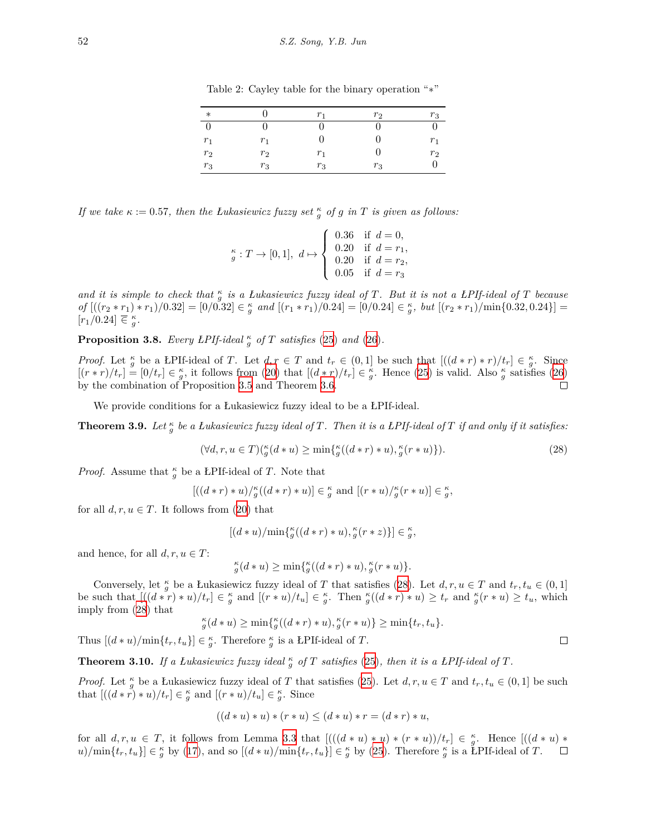| $\ast$ |       | $r_{1}$        | r <sub>2</sub> | $r_3$ |
|--------|-------|----------------|----------------|-------|
| ∩      |       |                |                |       |
| $r_1$  | $r_1$ |                |                | $r_1$ |
| $r_2$  | $r_2$ | r <sub>1</sub> |                | $r_2$ |
| $r_3$  | $r_3$ | $r_3$          | $r_3$          |       |

<span id="page-5-0"></span>Table 2: Cayley table for the binary operation "*∗*"

*If we take*  $\kappa := 0.57$ , then the *Łukasiewicz fuzzy set*  $\frac{\kappa}{g}$  *of g in T is given as follows:* 

$$
_{g}^{\kappa}:T\rightarrow[0,1],\ d\mapsto\left\{ \begin{array}{ll} 0.36 & \text{if}\ \ d=0, \\ 0.20 & \text{if}\ \ d=r_{1}, \\ 0.20 & \text{if}\ \ d=r_{2}, \\ 0.05 & \text{if}\ \ d=r_{3} \end{array} \right.
$$

*and it is simple to check that <sup>κ</sup> g is a Łukasiewicz fuzzy ideal of T. But it is not a ŁPIf-ideal of T because* of  $[(r_2*r_1)*r_1)/0.32] = [0/0.32] \in \frac{\kappa}{g}$  and  $[(r_1*r_1)/0.24] = [0/0.24] \in \frac{\kappa}{g}$ , but  $[(r_2*r_1)/\min\{0.32, 0.24\}] =$  $[r_1/0.24] \n\overline{\in} \frac{\kappa}{g}.$ 

<span id="page-5-4"></span>**Proposition 3.8.** *Every LPIf-ideal*  $\frac{\kappa}{g}$  *of T satisfies* [\(25](#page-4-2)) *and* ([26\)](#page-4-5)*.* 

*Proof.* Let  $\frac{\kappa}{g}$  be a LPIf-ideal of T. Let  $d, r \in T$  and  $t_r \in (0,1]$  be such that  $[(d*r)*r)/t_r] \in \frac{\kappa}{g}$ . Since  $[(r*r)/t_r] = [0/t_r] \in \frac{\kappa}{g}$ , it follows from ([20\)](#page-3-3) that  $[(d*r)/t_r] \in \frac{\kappa}{g}$ . Hence [\(25](#page-4-2)) is valid. Also  $\frac{\kappa}{g}$  satisfies [\(26](#page-4-5)) by the combination of Proposition [3.5](#page-4-7) and Theorem [3.6.](#page-4-6)  $\Box$ 

We provide conditions for a Łukasiewicz fuzzy ideal to be a ŁPIf-ideal.

<span id="page-5-3"></span>**Theorem 3.9.** Let  $\frac{\kappa}{g}$  be a Łukasiewicz fuzzy ideal of T. Then it is a ŁPIf-ideal of T if and only if it satisfies:

$$
(\forall d, r, u \in T) \left(\begin{matrix} \kappa \\ g \end{matrix}\left(d * u\right) \ge \min\left\{\begin{matrix} \kappa \\ g \end{matrix}\left((d * r) * u\right), \begin{matrix} \kappa \\ g \end{matrix}\left(r * u\right)\right\}\right). \tag{28}
$$

*Proof.* Assume that  $\frac{\kappa}{g}$  be a LPIf-ideal of *T*. Note that

$$
[((d*r)*u)/{}_{g}^{\kappa}((d*r)*u)] \in {}_{g}^{\kappa}
$$
 and 
$$
[(r*u)/{}_{g}^{\kappa}(r*u)] \in {}_{g}^{\kappa}
$$
,

for all  $d, r, u \in T$ . It follows from [\(20](#page-3-3)) that

$$
[(d*u)/\min\{{}^{\kappa}_{g}((d*r)*u),{}^{\kappa}_{g}(r*z)\}] \in {}^{\kappa}_{g},
$$

and hence, for all  $d, r, u \in T$ :

$$
_{g}^{\kappa}(d*u)\geq\min\{_{g}^{\kappa}((d*r)*u),_{g}^{\kappa}(r*u)\}.
$$

Conversely, let  $\frac{\kappa}{g}$  be a Łukasiewicz fuzzy ideal of *T* that satisfies ([28\)](#page-5-1). Let  $d, r, u \in T$  and  $t_r, t_u \in (0, 1]$ be such that  $[(d\overset{\circ}{*}r)\ast u)/t_r] \in \frac{\kappa}{g}$  and  $[(r\ast u)/t_u] \in \frac{\kappa}{g}$ . Then  $\frac{\kappa}{g}((d\ast r)\ast u) \geq t_r$  and  $\frac{\kappa}{g}(r\ast u) \geq t_u$ , which imply from [\(28](#page-5-1)) that

$$
_{g}^{\kappa}(d*u)\geq\min\{_{g}^{\kappa}((d*r)*u),_{g}^{\kappa}(r*u)\}\geq\min\{t_{r},t_{u}\}.
$$

Thus  $[(d * u) / \min\{t_r, t_u\}] \in \frac{\kappa}{g}$ . Therefore  $\frac{\kappa}{g}$  is a LPIf-ideal of *T*.

<span id="page-5-2"></span>**Theorem 3.10.** If a Łukasiewicz fuzzy ideal  $\frac{\kappa}{g}$  of T satisfies ([25\)](#page-4-2), then it is a *ŁPIf-ideal of* T.

*Proof.* Let  $\frac{\kappa}{g}$  be a Łukasiewicz fuzzy ideal of *T* that satisfies [\(25](#page-4-2)). Let  $d, r, u \in T$  and  $t_r, t_u \in (0, 1]$  be such that  $[(d * \tilde{r}) * u)/t_r] \in \frac{\kappa}{g}$  and  $[(r * u)/t_u] \in \frac{\kappa}{g}$ . Since

$$
((d * u) * u) * (r * u) \le (d * u) * r = (d * r) * u,
$$

for all  $d, r, u \in T$ , it follows from Lemma [3.3](#page-4-8) that  $[((d * u) * u) * (r * u))/t_r] \in \frac{\kappa}{g}$ . Hence  $[((d * u) *$  $(u)/\min\{t_r, t_u\} \in \frac{\kappa}{g}$  by [\(17](#page-3-4)), and so  $[(d * u)/\min\{t_r, t_u\}] \in \frac{\kappa}{g}$  by [\(25](#page-4-2)). Therefore  $\frac{\kappa}{g}$  is a LPIf-ideal of T.  $\Box$ 

<span id="page-5-1"></span>
$$
\Box
$$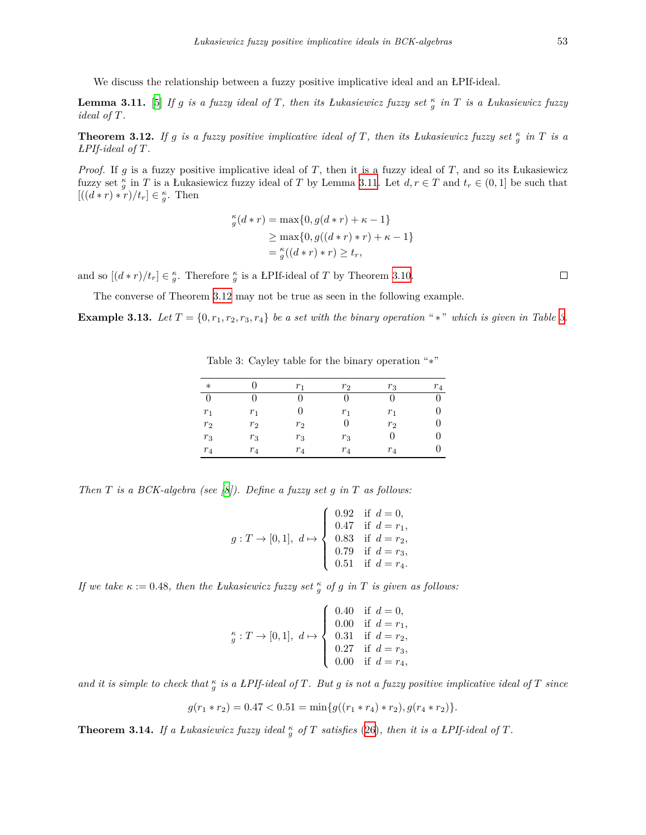We discuss the relationship between a fuzzy positive implicative ideal and an ŁPIf-ideal.

<span id="page-6-0"></span>**Lemma 3.11.** [\[5](#page-11-4)] *If g is a fuzzy ideal of T*, then its *Łukasiewicz fuzzy set*  $\frac{\kappa}{g}$  *in T is a Łukasiewicz fuzzy ideal of T.*

<span id="page-6-1"></span>**Theorem 3.12.** If g is a fuzzy positive implicative ideal of T, then its Lukasiewicz fuzzy set  $\frac{\kappa}{g}$  in T is a *ŁPIf-ideal of T.*

*Proof.* If *g* is a fuzzy positive implicative ideal of *T*, then it is a fuzzy ideal of *T*, and so its Łukasiewicz fuzzy set  $\frac{\kappa}{g}$  in *T* is a Łukasiewicz fuzzy ideal of *T* by Lemma [3.11](#page-6-0). Let  $d, r \in T$  and  $t_r \in (0,1]$  be such that  $[(d*r)*r)/t_r] \in \frac{\kappa}{g}$ . Then

$$
\begin{aligned} \n\kappa_g(d*r) &= \max\{0, g(d*r) + \kappa - 1\} \\ \n&\ge \max\{0, g((d*r)*r) + \kappa - 1\} \\ \n&= \frac{\kappa_g}{g}((d*r)*r) \ge t_r, \n\end{aligned}
$$

and so  $[(d * r)/t_r] \in \frac{\kappa}{g}$ . Therefore  $\frac{\kappa}{g}$  is a LPIf-ideal of *T* by Theorem [3.10.](#page-5-2)

The converse of Theorem [3.12](#page-6-1) may not be true as seen in the following example.

**Example [3](#page-6-2).13.** Let  $T = \{0, r_1, r_2, r_3, r_4\}$  be a set with the binary operation "\*" which is given in Table 3.

| $\ast$ |       | r <sub>1</sub> | $r_2$ | $r_3$          | $r_4$ |
|--------|-------|----------------|-------|----------------|-------|
| 0      |       |                |       |                |       |
| $r_1$  | $r_1$ |                | $r_1$ | $r_1$          |       |
| $r_2$  | $r_2$ | $r_2$          |       | r <sub>2</sub> |       |
| $r_3$  | $r_3$ | $r_3$          | $r_3$ |                |       |
| $r_4$  | $r_4$ | $r_4$          | $r_4$ | $r_4$          |       |

<span id="page-6-2"></span>Table 3: Cayley table for the binary operation "*∗*"

*Then T is a BCK-algebra (see [\[8](#page-11-6)]). Define a fuzzy set g in T as follows:*

$$
g:T\to[0,1],\ d\mapsto \left\{\begin{array}{ll} 0.92 & \text{if}\ d=0,\\ 0.47 & \text{if}\ d=r_1,\\ 0.83 & \text{if}\ d=r_2,\\ 0.79 & \text{if}\ d=r_3,\\ 0.51 & \text{if}\ d=r_4. \end{array}\right.
$$

*If we take*  $\kappa := 0.48$ *, then the Lukasiewicz fuzzy set*  $\frac{\kappa}{g}$  *of g in T is given as follows:* 

$$
_{g}^{\kappa}:T\rightarrow[0,1],\ d\mapsto\left\{ \begin{array}{ll} 0.40\quad \text{if}\ \ d=0, \\ 0.00\quad \text{if}\ \ d=r_{1}, \\ 0.31\quad \text{if}\ \ d=r_{2}, \\ 0.27\quad \text{if}\ \ d=r_{3}, \\ 0.00\quad \text{if}\ \ d=r_{4}, \end{array} \right.
$$

and it is simple to check that  $\frac{\kappa}{g}$  is a LPIf-ideal of T. But g is not a fuzzy positive implicative ideal of T since

$$
g(r_1*r_2)=0.47<0.51=\min\{g((r_1*r_4)*r_2),g(r_4*r_2)\}.
$$

**Theorem 3.14.** If a Łukasiewicz fuzzy ideal  $\frac{\kappa}{g}$  of T satisfies ([26\)](#page-4-5), then it is a *ŁPIf-ideal of* T.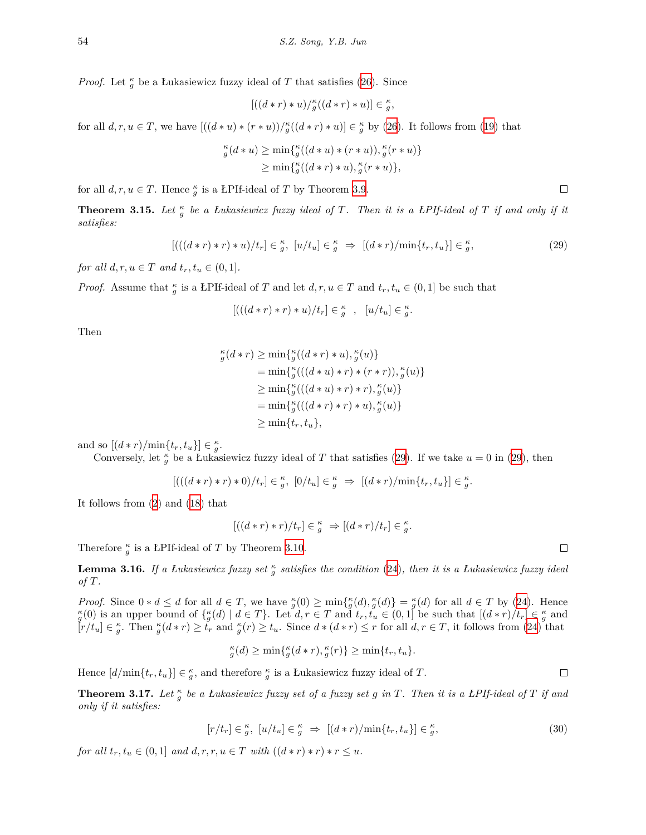*Proof.* Let  $\frac{\kappa}{g}$  be a Łukasiewicz fuzzy ideal of *T* that satisfies [\(26](#page-4-5)). Since

$$
[((d*r)*u)/_g^{\kappa}((d*r)*u)] \in \frac{\kappa}{g},
$$

for all  $d, r, u \in T$ , we have  $[(d * u) * (r * u))/\frac{\kappa}{g}((d * r) * u)] \in \frac{\kappa}{g}$  by ([26\)](#page-4-5). It follows from ([19\)](#page-3-5) that

$$
\substack{\kappa \\ g(d*u)} \ge \min\{g((d*u)*(r*u)), g'(r*u)\} \\ \ge \min\{g((d*r)*u), g'(r*u)\},
$$

for all  $d, r, u \in T$ . Hence  $\frac{\kappa}{g}$  is a LPIf-ideal of *T* by Theorem [3.9](#page-5-3).

**Theorem 3.15.** Let  $\frac{\kappa}{g}$  be a Łukasiewicz fuzzy ideal of T. Then it is a ŁPIf-ideal of T if and only if it *satisfies:*

$$
[(( (d*r)*r)*u)/t_r] \in \frac{\kappa}{g}, [u/t_u] \in \frac{\kappa}{g} \implies [(d*r)/\min\{t_r, t_u\}] \in \frac{\kappa}{g},\tag{29}
$$

*for all*  $d, r, u \in T$  *and*  $t_r, t_u \in (0, 1]$ *.* 

*Proof.* Assume that  $\frac{\kappa}{g}$  is a LPIf-ideal of *T* and let *d, r, u*  $\in$  *T* and  $t_r$ ,  $t_u \in (0,1]$  be such that

$$
[(( (d * r) * r) * u)/t_r] \in \frac{\kappa}{g} , [u/t_u] \in \frac{\kappa}{g}.
$$

Then

$$
\begin{aligned} \n\kappa_g(d*r) &\ge \min\{ \n\kappa_g((d*r)*u), \n\kappa_g(u) \} \\ \n&= \min\{ \n\kappa_g(((d*u)*r)*(r*r)), \n\kappa_g(u) \} \\ \n&\ge \min\{ \n\kappa_g(((d*u)*r)*r), \n\kappa_g(u) \} \\ \n&= \min\{ \n\kappa_g(((d*r)*r)*u), \n\kappa_g(u) \} \\ \n&\ge \min\{ \n\kappa_r, \n\kappa_u \}, \n\end{aligned}
$$

and so  $[(d * r)/\min\{t_r, t_u\}] \in \frac{\kappa}{g}$ .

Conversely, let  $\frac{\kappa}{g}$  be a Łukasiewicz fuzzy ideal of *T* that satisfies ([29\)](#page-7-0). If we take  $u = 0$  in (29), then

$$
[(( (d * r) * r) * 0)/t_r] \in \frac{\kappa}{g}, [0/t_u] \in \frac{\kappa}{g} \Rightarrow [(d * r)/\text{min}\{t_r, t_u\}] \in \frac{\kappa}{g}.
$$

It follows from ([2\)](#page-1-3) and [\(18](#page-3-1)) that

$$
[((d*r)*r)/t_r] \in \frac{\kappa}{g} \Rightarrow [(d*r)/t_r] \in \frac{\kappa}{g}.
$$

Therefore  $\frac{\kappa}{g}$  is a LPIf-ideal of *T* by Theorem [3.10.](#page-5-2)

<span id="page-7-2"></span>**Lemma 3.16.** *If a Łukasiewicz fuzzy set*  $\frac{\kappa}{g}$  *satisfies the condition* [\(24](#page-4-9))*, then it is a Łukasiewicz fuzzy ideal of T.*

*Proof.* Since  $0 * d \le d$  for all  $d \in T$ , we have  ${}_{g}^{\kappa}(0) \ge \min\{{}_{g}^{\kappa}(d),{}_{g}^{\kappa}(d)\} = {}_{g}^{\kappa}(d)$  for all  $d \in T$  by ([24\)](#page-4-9). Hence  ${}_{g}^{\kappa}(0)$  is an upper bound of  $\{{}_{g}^{\kappa}(d) \mid d \in T\}$ . Let  $d, r \in T$  and  $t_r, t_u \in (0,$  $[r/t_u] \in \frac{\kappa}{g}$ . Then  $\frac{\kappa}{g}(d*r) \geq \tilde{t}_r$  and  $\frac{\kappa}{g}(r) \geq t_u$ . Since  $d*(d*r) \leq r$  for all  $d, r \in T$ , it follows from ([24\)](#page-4-9) that

$$
_{g}^{\kappa}(d) \geq \min\{_{g}^{\kappa}(d\ast r),_{g}^{\kappa}(r)\} \geq \min\{t_r, t_u\}.
$$

Hence  $[d/\min\{t_r, t_u\}] \in \frac{\kappa}{g}$ , and therefore  $\frac{\kappa}{g}$  is a Łukasiewicz fuzzy ideal of *T*.

<span id="page-7-3"></span>**Theorem 3.17.** *Let <sup>κ</sup> g be a Łukasiewicz fuzzy set of a fuzzy set g in T. Then it is a ŁPIf-ideal of T if and only if it satisfies:*

$$
[r/t_r] \in \frac{\kappa}{g}, \ [u/t_u] \in \frac{\kappa}{g} \implies [(d*r)/\min\{t_r, t_u\}] \in \frac{\kappa}{g},\tag{30}
$$

*for all*  $t_r, t_u \in (0,1]$  *and*  $d, r, r, u \in T$  *with*  $((d * r) * r) * r \leq u$ .

<span id="page-7-0"></span> $\Box$ 

<span id="page-7-1"></span> $\Box$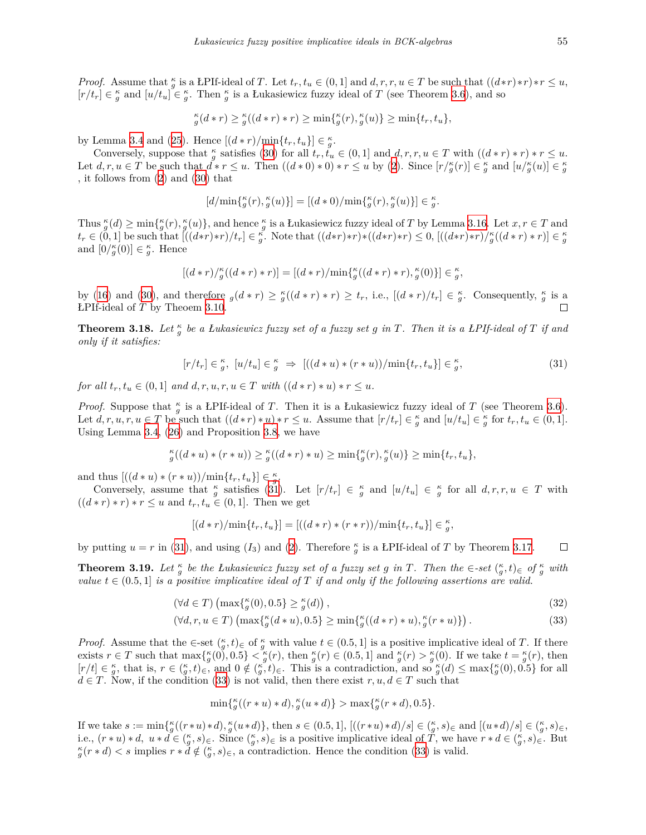*Proof.* Assume that  $\frac{\kappa}{g}$  is a LPIf-ideal of T. Let  $t_r, t_u \in (0,1]$  and  $d, r, r, u \in T$  be such that  $((d*r)*r)*r \leq u$ ,  $[r/t_r] \in \frac{\kappa}{g}$  and  $[u/t_u] \in \frac{\kappa}{g}$ . Then  $\frac{\kappa}{g}$  is a Łukasiewicz fuzzy ideal of *T* (see Theorem [3.6](#page-4-6)), and so

$$
_{g}^{\kappa}(d\ast r)\geq {_{g}^{\kappa}}((d\ast r)\ast r)\geq \min\{ {_{g}^{\kappa}}(r),{_{g}^{\kappa}}(u)\}\geq \min\{t_{r},t_{u}\},
$$

by Lemma [3.4](#page-4-10) and [\(25](#page-4-2)). Hence  $[(d * r)/\min\{t_r, t_u\}] \in \frac{\kappa}{g}$ .

Conversely, suppose that  $\frac{\kappa}{g}$  satisfies ([30\)](#page-7-1) for all  $t_r, t_u \in (0,1]$  and  $d, r, r, u \in T$  with  $((d*r)*r)*r \leq u$ . Let  $d, r, u \in T$  be such that  $d^* r \leq u$ . Then  $((d * 0) * 0) * r \leq u$  by [\(2](#page-1-3)). Since  $[r/\frac{\kappa}{g}(r)] \in \frac{\kappa}{g}$  and  $[u/\frac{\kappa}{g}(u)] \in \frac{\kappa}{g}$ , it follows from ([2\)](#page-1-3) and [\(30](#page-7-1)) that

$$
[d/\min\{\xi(r), \xi(u)\}] = [(d*0)/\min\{\xi(r), \xi(u)\}] \in \xi.
$$

Thus  $_{g}^{\kappa}(d) \ge \min\{_{g}^{\kappa}(r),_{g}^{\kappa}(u)\}\$ , and hence  $_{g}^{\kappa}$  is a Lukasiewicz fuzzy ideal of T by Lemma [3.16](#page-7-2). Let  $x, r \in T$  and  $t_r \in (0,1]$  be such that  $[((d*r)*r)/t_r] \in \frac{\kappa}{g}$ . Note that  $((d*r)*r)*((d*r)*r) \leq 0, [((d*r)*r)/\frac{\kappa}{g}((d*r)*r)] \in \frac{\kappa}{g}$ and  $[0/\frac{\kappa}{g}(0)] \in \frac{\kappa}{g}$ . Hence

$$
[(d*r)/\underset{g}{\kappa}((d*r)*r)] = [(d*r)/\min{\{\underset{g}{\kappa}((d*r)*r),\underset{g}{\kappa}(0)\}}] \in \underset{g}{\kappa},
$$

by [\(16](#page-3-0)) and [\(30](#page-7-1)), and therefore  $g(d*r) \geq \frac{\kappa}{g}((d*r)*r) \geq t_r$ , i.e.,  $[(d*r)/t_r] \in \frac{\kappa}{g}$ . Consequently,  $\frac{\kappa}{g}$  is a ŁPIf-ideal of *T* by Theoem [3.10](#page-5-2).  $\Box$ 

**Theorem 3.18.** *Let <sup>κ</sup> g be a Łukasiewicz fuzzy set of a fuzzy set g in T. Then it is a ŁPIf-ideal of T if and only if it satisfies:*

<span id="page-8-0"></span>
$$
[r/t_r] \in \frac{\kappa}{g}, \ [u/t_u] \in \frac{\kappa}{g} \Rightarrow \ [((d*u)*(r*u))/\min\{t_r,t_u\}] \in \frac{\kappa}{g},\tag{31}
$$

for all  $t_r, t_u \in (0,1]$  and  $d, r, u, r, u \in T$  with  $((d*r)*u)*r \leq u$ .

*Proof.* Suppose that  $\frac{\kappa}{g}$  is a LPIf-ideal of *T*. Then it is a Lukasiewicz fuzzy ideal of *T* (see Theorem [3.6\)](#page-4-6). Let  $d, r, u, r, u \in T$  be such that  $((d * r) * u) * r \leq u$ . Assume that  $[r/t_r] \in \frac{\kappa}{g}$  and  $[u/t_u] \in \frac{\kappa}{g}$  for  $t_r, t_u \in (0, 1]$ . Using Lemma [3.4,](#page-4-10) ([26\)](#page-4-5) and Proposition [3.8,](#page-5-4) we have

$$
_{g}^{\kappa}((d*u)*(r*u))\geq {_{g}^{\kappa}((d*r)*u)}\geq \min\{ {_{g}^{\kappa}(r), {_{g}^{\kappa}(u)}}\}\geq \min\{t_r,t_u\},
$$

and thus  $[((d * u) * (r * u))/\min\{t_r, t_u\}] \in \frac{\kappa}{g}.$ 

Conversely, assume that  $\frac{\kappa}{g}$  satisfies [\(31](#page-8-0)). Let  $[r/t_r] \in \frac{\kappa}{g}$  and  $[u/t_u] \in \frac{\kappa}{g}$  for all  $d, r, r, u \in T$  with  $((d * r) * r) * r \le u$  and  $t_r, t_u \in (0, 1]$ . Then we get

$$
[(d\ast r)/\mathrm{min}\{t_r,t_u\}] = [((d\ast r)\ast (r\ast r))/\mathrm{min}\{t_r,t_u\}] \in \frac{\kappa}{g},
$$

by putting  $u = r$  in ([31\)](#page-8-0), and using (*I*<sub>3</sub>) and [\(2](#page-1-3)). Therefore  $\frac{\kappa}{g}$  is a LPIf-ideal of *T* by Theorem [3.17](#page-7-3).  $\Box$ 

**Theorem 3.19.** Let  $\frac{\kappa}{g}$  be the Lukasiewicz fuzzy set of a fuzzy set g in T. Then the  $\in$ -set  $(\frac{\kappa}{g},t)_{\infty}$  of  $\frac{\kappa}{g}$  with *value*  $t \in (0.5, 1]$  *is a positive implicative ideal of T if and only if the following assertions are valid.* 

$$
(\forall d \in T) \left( \max\{ \zeta_g(0), 0.5 \} \ge \zeta_g(d) \right),\tag{32}
$$

$$
(\forall d, r, u \in T) \left( \max\{ \zeta_d(d*u), 0.5\} \ge \min\{ \zeta_d((d*r)*u), \zeta(r*u) \} \right). \tag{33}
$$

*Proof.* Assume that the  $\in$ -set  $\binom{\kappa}{g}, t$ ) $\in$  of  $\frac{\kappa}{g}$  with value  $t \in (0.5, 1]$  is a positive implicative ideal of *T*. If there exists  $r \in T$  such that  $\max\{\kappa(0), 0.5\} < \kappa(g(r))$ , then  $\kappa(g(r)) \in (0.5, 1]$  and  $\kappa(g(r)) > \kappa(g(r))$ . If we take  $t = \kappa(g(r))$ , then  $[r/t] \in \frac{\kappa}{g}$ , that is,  $r \in (\frac{\kappa}{g}, t)_{\infty}$ , and  $0 \notin (\frac{\kappa}{g}, t)_{\infty}$ . This is a contradiction, and so  $\frac{\kappa}{g}(d) \leq \max{\{\frac{\kappa}{g}(0), 0.5\}}$  for all  $d \in T$ . Now, if the condition ([33\)](#page-8-1) is not valid, then there exist  $r, u, d \in T$  such that

<span id="page-8-2"></span><span id="page-8-1"></span>
$$
\min\{\frac{\kappa}{g}((r * u) * d), \frac{\kappa}{g}(u * d)\} > \max\{\frac{\kappa}{g}(r * d), 0.5\}.
$$

If we take  $s := \min\{\xi((r * u) * d), \xi(u * d)\},\$  then  $s \in (0.5, 1],$   $[(r * u) * d)/s] \in (\xi, s)_{\in}$  and  $[(u * d)/s] \in (\xi, s)_{\in}$ , i.e.,  $(r * u) * d$ ,  $u * d \in \binom{\kappa}{g}, s$ . Since  $\binom{\kappa}{g}, s$  is a positive implicative ideal of  $\tilde{T}$ , we have  $r * d \in \binom{\kappa}{g}, s$ . But  $g(r * d) < s$  implies  $r * d \notin (\frac{\kappa}{g}, s)_{\epsilon}$ , a contradiction. Hence the condition ([33\)](#page-8-1) is valid.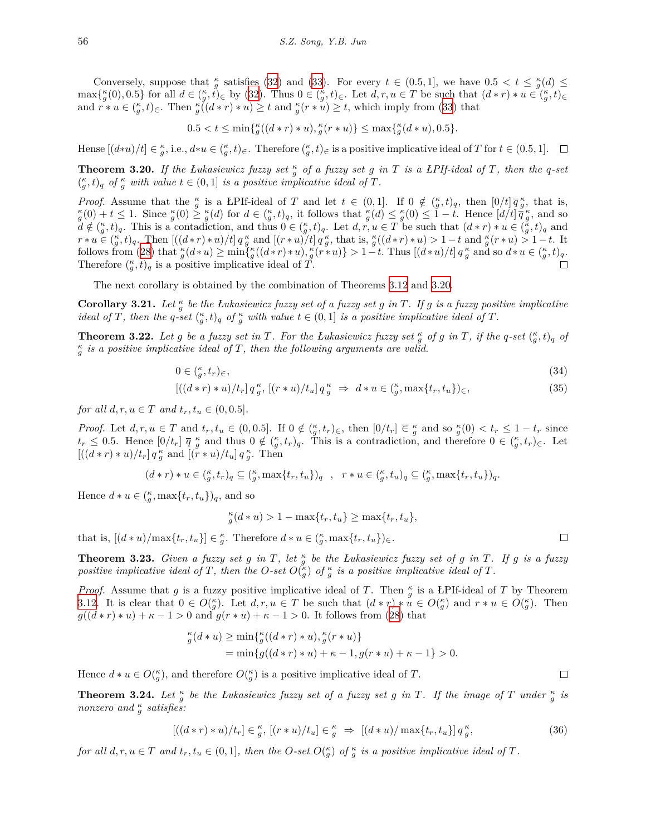Conversely, suppose that  $\frac{\kappa}{g}$  satisfies ([32\)](#page-8-2) and ([33\)](#page-8-1). For every  $t \in (0.5, 1]$ , we have  $0.5 < t \leq \frac{\kappa}{g}(d) \leq$  $\max\{\kappa(G), 0.5\}$  for all  $d \in (\kappa_g, t)_{\infty}$  by ([32\)](#page-8-2). Thus  $0 \in (\kappa_g, t)_{\infty}$ . Let  $d, r, u \in T$  be such that  $(d * r) * u \in (\kappa_g, t)_{\infty}$ and  $r * u \in (\frac{\kappa}{g}, t)_{\in}$ . Then  $\frac{\kappa}{g}((d * r) * u) \geq t$  and  $\frac{\kappa}{g}(r * u) \geq t$ , which imply from ([33](#page-8-1)) that

$$
0.5 < t \le \min\{ \zeta((d * r) * u), \zeta(r * u) \} \le \max\{ \zeta((d * u), 0.5 \}.
$$

Hense  $[(d*u)/t] \in \frac{\kappa}{g}$ , i.e.,  $d*u \in (\frac{\kappa}{g},t)_{\in}$ . Therefore  $(\frac{\kappa}{g},t)_{\in}$  is a positive implicative ideal of T for  $t \in (0.5,1]$ .

<span id="page-9-0"></span>**Theorem 3.20.** If the Lukasiewicz fuzzy set  $\frac{\kappa}{g}$  of a fuzzy set g in T is a LPIf-ideal of T, then the q-set  $(\frac{\kappa}{g}, t)_q$  of  $\frac{\kappa}{g}$  with value  $t \in (0, 1]$  is a positive implicative ideal of T.

*Proof.* Assume that the  $\frac{\kappa}{g}$  is a LPIf-ideal of T and let  $t \in (0,1]$ . If  $0 \notin (\frac{\kappa}{g},t)_q$ , then  $[0/t] \overline{q}_{g}^{\kappa}$ , that is,  $\frac{\kappa}{g}(0) + t \leq 1$ . Since  $\frac{\kappa}{g}(0) \leq \frac{\kappa}{g}(d)$  for  $d \in (\frac{\kappa}{g}, t)_q$ , it follows that  $\frac{\kappa}{g}(d) \leq \frac{\kappa}{g}(0) \leq 1 - t$ . Hence  $\left[d/t\right] \tilde{\vec{q}}_g^{\kappa}$ , and so  $\tilde{d} \notin {(\kappa, t)_{q}}$ . This is a contadiction, and thus  $0 \in {(\kappa, t)_{q}}$ . Let  $d, r, u \in T$  be such that  $(d * r) * u \in {(\kappa, t)_{q}}$  and  $r * u \in (\frac{\kappa}{g}, t)_q$ . Then  $[(d * r) * u)/t] q_g^{\kappa}$  and  $[(r * u)/t] q_g^{\kappa}$ , that is,  $\frac{\kappa}{g}((d * r) * u) > 1 - t$  and  $\frac{\kappa}{g}(r * u) > 1 - t$ . It follows from ([28\)](#page-5-1) that  $\frac{\kappa}{g}(d*u) \ge \min\{\frac{\kappa}{g}((d*r)*u), \frac{\kappa}{g}(r*u)\} > 1-t$ . Thus  $[(d*u)/t] q_g^{\kappa}$  and so  $d*u \in (\frac{\kappa}{g},t)_q$ . Therefore  $\binom{\kappa}{g}$ ,  $t$ )<sub>q</sub> is a positive implicative ideal of  $\tilde{T}$ .

The next corollary is obtained by the combination of Theorems [3.12](#page-6-1) and [3.20](#page-9-0).

**Corollary 3.21.** Let  $\frac{\kappa}{g}$  be the Łukasiewicz fuzzy set of a fuzzy set g in T. If g is a fuzzy positive implicative ideal of T, then the q-set  $\binom{\kappa}{g}$ ,  $t)_q$  of  $\frac{\kappa}{g}$  with value  $t \in (0,1]$  is a positive implicative ideal of T.

**Theorem 3.22.** Let g be a fuzzy set in T. For the Lukasiewicz fuzzy set  $\frac{\kappa}{g}$  of g in T, if the q-set  $(\frac{\kappa}{g},t)_q$  of *κ g is a positive implicative ideal of T, then the following arguments are valid.*

$$
0 \in \binom{\kappa}{g}, t_r \in (34)
$$

$$
[((d*r)*u)/t_r] q_g^{\kappa}, [(r*u)/t_u] q_g^{\kappa} \Rightarrow d*u \in (\zeta, \max\{t_r, t_u\})_{\in},
$$
\n(35)

*for all*  $d, r, u \in T$  *and*  $t_r, t_u \in (0, 0.5]$ *.* 

*Proof.* Let  $d, r, u \in T$  and  $t_r, t_u \in (0, 0.5]$ . If  $0 \notin (\frac{\kappa}{g}, t_r)_{\epsilon}$ , then  $[0/t_r] \in \frac{\kappa}{g}$  and so  $\frac{\kappa}{g}(0) < t_r \leq 1 - t_r$  since  $t_r \leq 0.5$ . Hence  $[0/t_r]$   $\overline{q}$   $\frac{\kappa}{g}$  and thus  $0 \notin (\frac{\kappa}{g}, t_r)_q$ . This is a contradiction, and therefore  $0 \in (\frac{\kappa}{g}, t_r)_{\epsilon}$ . Let  $[(d * r) * u)/t_r] q_g^{\kappa}$  and  $[(r * u)/t_u] q_g^{\kappa}$ . Then

$$
(d*r)*u\in\tbinom{\kappa}{g},t_r)_q\subseteq\tbinom{\kappa}{g},\max\{t_r,t_u\})_q\ \ ,\ \ r*u\in\tbinom{\kappa}{g},t_u)_q\subseteq\tbinom{\kappa}{g},\max\{t_r,t_u\})_q.
$$

Hence  $d * u \in \left(\frac{\kappa}{g}, \max\{t_r, t_u\}\right)$ <sub>q</sub>, and so

$$
_{g}^{\kappa}(d*u) > 1 - \max\{t_r, t_u\} \geq \max\{t_r, t_u\},
$$

that is,  $[(d * u)/\max\{t_r, t_u\}] \in \frac{\kappa}{g}$ . Therefore  $d * u \in (\frac{\kappa}{g}, \max\{t_r, t_u\})_{\in}$ .

**Theorem 3.23.** Given a fuzzy set  $g$  in  $T$ , let  $\frac{\kappa}{g}$  be the *Lukasiewicz fuzzy set of*  $g$  *in*  $T$ *. If*  $g$  *is a fuzzy positive implicative ideal of T*, then the *O*-set  $O(\frac{\kappa}{g})$  of  $\frac{\kappa}{g}$  is a positive implicative ideal of T.

*Proof.* Assume that *g* is a fuzzy positive implicative ideal of *T*. Then  $\frac{\kappa}{g}$  is a ŁPIf-ideal of *T* by Theorem [3.12](#page-6-1). It is clear that  $0 \in O(\frac{\kappa}{g})$ . Let  $d, r, u \in T$  be such that  $(d * r) * u \in O(\frac{\kappa}{g})$  and  $r * u \in O(\frac{\kappa}{g})$ . Then *g*( $(d * r) * u$ ) +  $\kappa$  - 1 > 0 and  $g(r * u) + \kappa$  - 1 > 0. It follows from [\(28\)](#page-5-1) that

$$
\substack{\kappa \\ g} (d * u) \ge \min \{ \substack{\kappa \\ g} ((d * r) * u), \substack{\kappa \\ g} (r * u) \}
$$
\n
$$
= \min \{ g ((d * r) * u) + \kappa - 1, g (r * u) + \kappa - 1 \} > 0.
$$

Hence  $d * u \in O(\frac{\kappa}{g})$ , and therefore  $O(\frac{\kappa}{g})$  is a positive implicative ideal of *T*.

**Theorem 3.24.** Let  $\frac{\kappa}{g}$  be the Łukasiewicz fuzzy set of a fuzzy set g in T. If the image of T under  $\frac{\kappa}{g}$  is *nonzero* and  $\frac{\kappa}{g}$  satisfies:

$$
[((d*r)*u)/t_r] \in \frac{\kappa}{g}, [(r*u)/t_u] \in \frac{\kappa}{g} \implies [(d*u)/\max\{t_r, t_u\}] q_g^{\kappa},\tag{36}
$$

for all  $d, r, u \in T$  and  $t_r, t_u \in (0, 1]$ , then the O-set  $O(\frac{\kappa}{g})$  of  $\frac{\kappa}{g}$  is a positive implicative ideal of T.

<span id="page-9-2"></span><span id="page-9-1"></span> $\Box$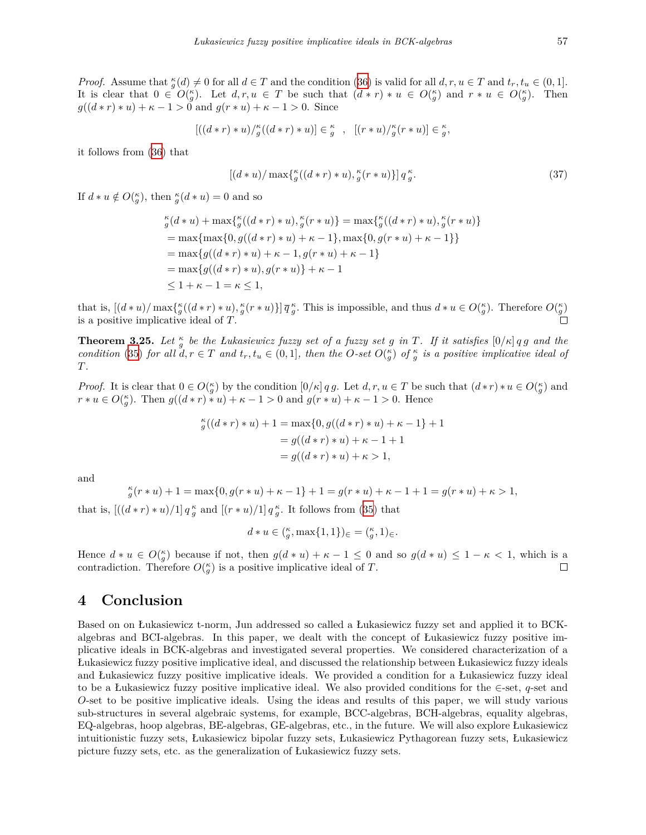*Proof.* Assume that  $_{g}^{\kappa}(d) \neq 0$  for all  $d \in T$  and the condition ([36\)](#page-9-1) is valid for all  $d, r, u \in T$  and  $t_r, t_u \in (0, 1]$ . It is clear that  $0 \in O(\frac{\kappa}{g})$ . Let  $d, r, u \in T$  be such that  $(d * r) * u \in O(\frac{\kappa}{g})$  and  $r * u \in O(\frac{\kappa}{g})$ . Then  $g((d * r) * u) + \kappa - 1 > 0$  and  $g(r * u) + \kappa - 1 > 0$ . Since

$$
[((d * r) * u)/{}_{g}^{\kappa}((d * r) * u)] \in {}_{g}^{\kappa} , [(r * u)/{}_{g}^{\kappa}(r * u)] \in {}_{g}^{\kappa},
$$

it follows from ([36\)](#page-9-1) that

$$
\left[ \left( d * u \right) / \max \{ _g^{\kappa} \left( \left( d * r \right) * u \right), _g^{\kappa} \left( r * u \right) \} \right] q_g^{\kappa}.
$$
\n(37)

If  $d * u \notin O(\frac{\kappa}{g})$ , then  $\frac{\kappa}{g}(d * u) = 0$  and so

$$
_{g}^{\kappa}(d*u) + \max\{_{g}^{\kappa}((d*r)*u),_{g}^{\kappa}(r*u)\} = \max\{_{g}^{\kappa}((d*r)*u),_{g}^{\kappa}(r*u)\}
$$
  
= max{max{0, g((d\*r)\*u) + \kappa - 1}, max{0, g(r\*u) + \kappa - 1}}  
= max{g((d\*r)\*u) + \kappa - 1, g(r\*u) + \kappa - 1}  
= max{g((d\*r)\*u), g(r\*u)} + \kappa - 1  

$$
\leq 1 + \kappa - 1 = \kappa \leq 1,
$$

that is,  $[(d * u)/\max{\kappa(G(d * r) * u)}, \kappa(Gr * u)]\overline{q}_{g}^{\kappa}$ . This is impossible, and thus  $d * u \in O(\kappa(G))$ . Therefore  $O(\kappa(G))$ is a positive implicative ideal of *T*.

**Theorem 3.25.** Let  $\frac{\kappa}{g}$  be the Łukasiewicz fuzzy set of a fuzzy set g in T. If it satisfies  $[0/\kappa] q g$  and the condition ([35](#page-9-2)) for all  $d, r \in T$  and  $t_r, t_u \in (0,1]$ , then the O-set  $O(\frac{\kappa}{g})$  of  $\frac{\kappa}{g}$  is a positive implicative ideal of *T.*

*Proof.* It is clear that  $0 \in O_q^{\kappa}$  by the condition  $[0/\kappa] q g$ . Let  $d, r, u \in T$  be such that  $(d*r)*u \in O_q^{\kappa}$  and  $r * u \in O(\frac{\kappa}{g})$ . Then  $g((d * r) * u) + \kappa - 1 > 0$  and  $g(r * u) + \kappa - 1 > 0$ . Hence

$$
_{g}^{\kappa}((d*r)*u) + 1 = \max\{0, g((d*r)*u) + \kappa - 1\} + 1
$$
  
=  $g((d*r)*u) + \kappa - 1 + 1$   
=  $g((d*r)*u) + \kappa > 1$ ,

and

$$
{}_{g}^{\kappa}(r * u) + 1 = \max\{0, g(r * u) + \kappa - 1\} + 1 = g(r * u) + \kappa - 1 + 1 = g(r * u) + \kappa > 1,
$$

that is,  $[(d * r) * u)/1] q_g^{\kappa}$  and  $[(r * u)/1] q_g^{\kappa}$ . It follows from [\(35](#page-9-2)) that

$$
d\ast u\in(\begin{matrix}\kappa\\g,\text{max}\{1,1\}\end{matrix})_\in=(\begin{matrix}\kappa\\g,1\end{matrix})_\in.
$$

Hence  $d * u \in O(\frac{\kappa}{g})$  because if not, then  $g(d * u) + \kappa - 1 \leq 0$  and so  $g(d * u) \leq 1 - \kappa < 1$ , which is a contradiction. Therefore  $O(\frac{\kappa}{g})$  is a positive implicative ideal of *T*.  $\Box$ 

### **4 Conclusion**

Based on on Łukasiewicz t-norm, Jun addressed so called a Łukasiewicz fuzzy set and applied it to BCKalgebras and BCI-algebras. In this paper, we dealt with the concept of Łukasiewicz fuzzy positive implicative ideals in BCK-algebras and investigated several properties. We considered characterization of a Łukasiewicz fuzzy positive implicative ideal, and discussed the relationship between Łukasiewicz fuzzy ideals and Łukasiewicz fuzzy positive implicative ideals. We provided a condition for a Łukasiewicz fuzzy ideal to be a Łukasiewicz fuzzy positive implicative ideal. We also provided conditions for the *∈*-set, *q*-set and *O*-set to be positive implicative ideals. Using the ideas and results of this paper, we will study various sub-structures in several algebraic systems, for example, BCC-algebras, BCH-algebras, equality algebras, EQ-algebras, hoop algebras, BE-algebras, GE-algebras, etc., in the future. We will also explore Łukasiewicz intuitionistic fuzzy sets, Łukasiewicz bipolar fuzzy sets, Łukasiewicz Pythagorean fuzzy sets, Łukasiewicz picture fuzzy sets, etc. as the generalization of Łukasiewicz fuzzy sets.